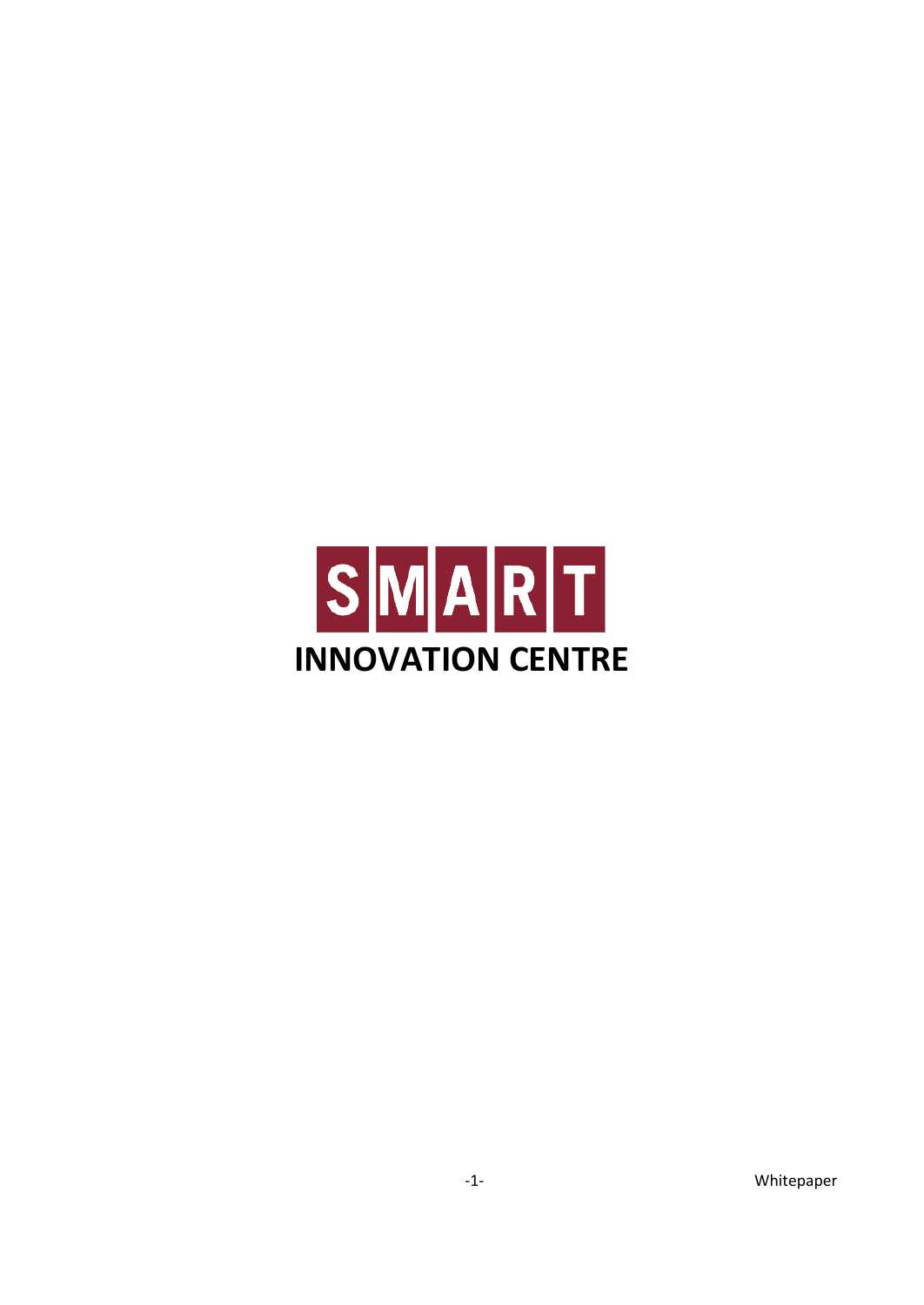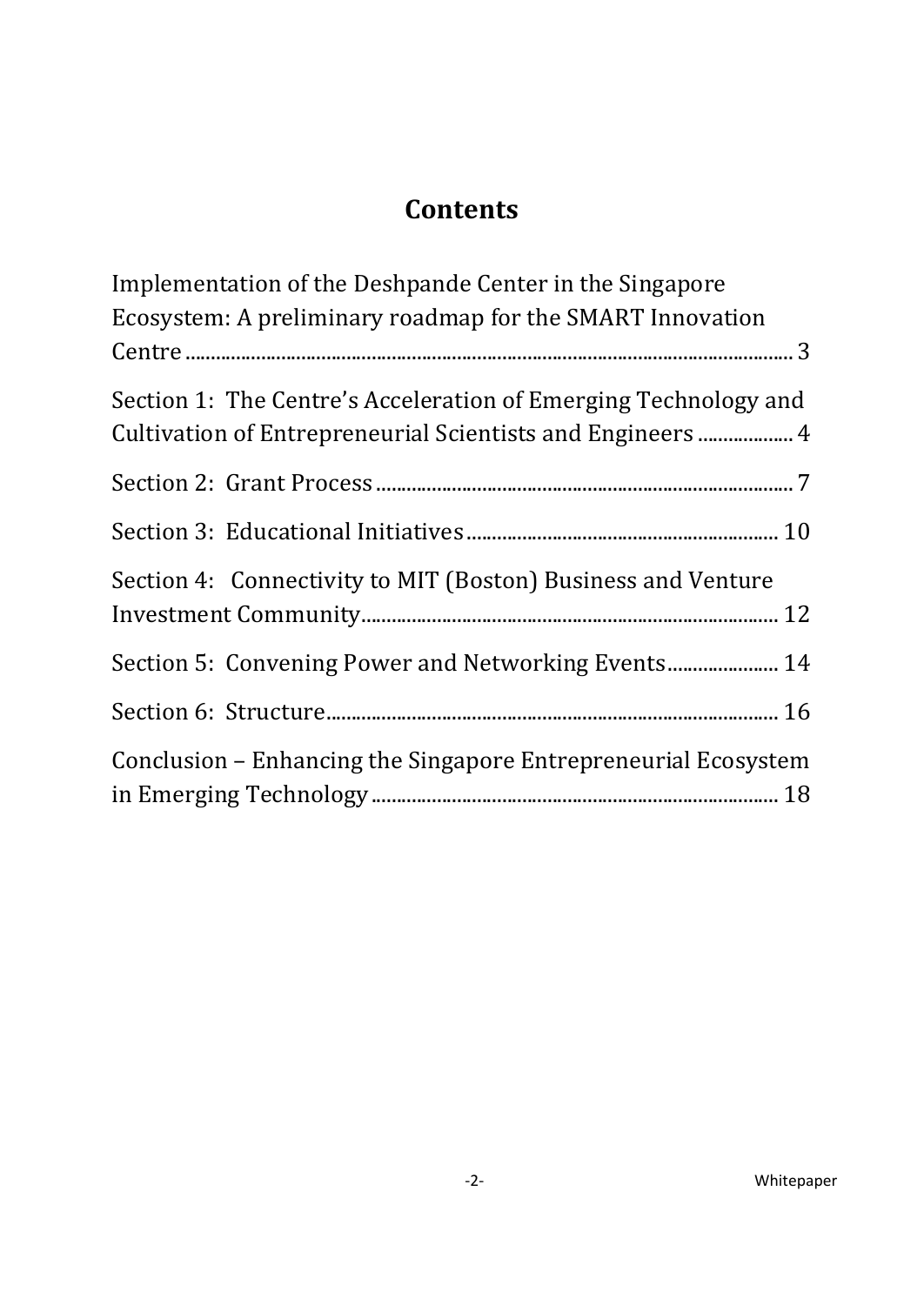# **Contents**

| Implementation of the Deshpande Center in the Singapore<br>Ecosystem: A preliminary roadmap for the SMART Innovation          |
|-------------------------------------------------------------------------------------------------------------------------------|
|                                                                                                                               |
| Section 1: The Centre's Acceleration of Emerging Technology and<br>Cultivation of Entrepreneurial Scientists and Engineers  4 |
|                                                                                                                               |
|                                                                                                                               |
| Section 4: Connectivity to MIT (Boston) Business and Venture                                                                  |
| Section 5: Convening Power and Networking Events 14                                                                           |
|                                                                                                                               |
| Conclusion – Enhancing the Singapore Entrepreneurial Ecosystem                                                                |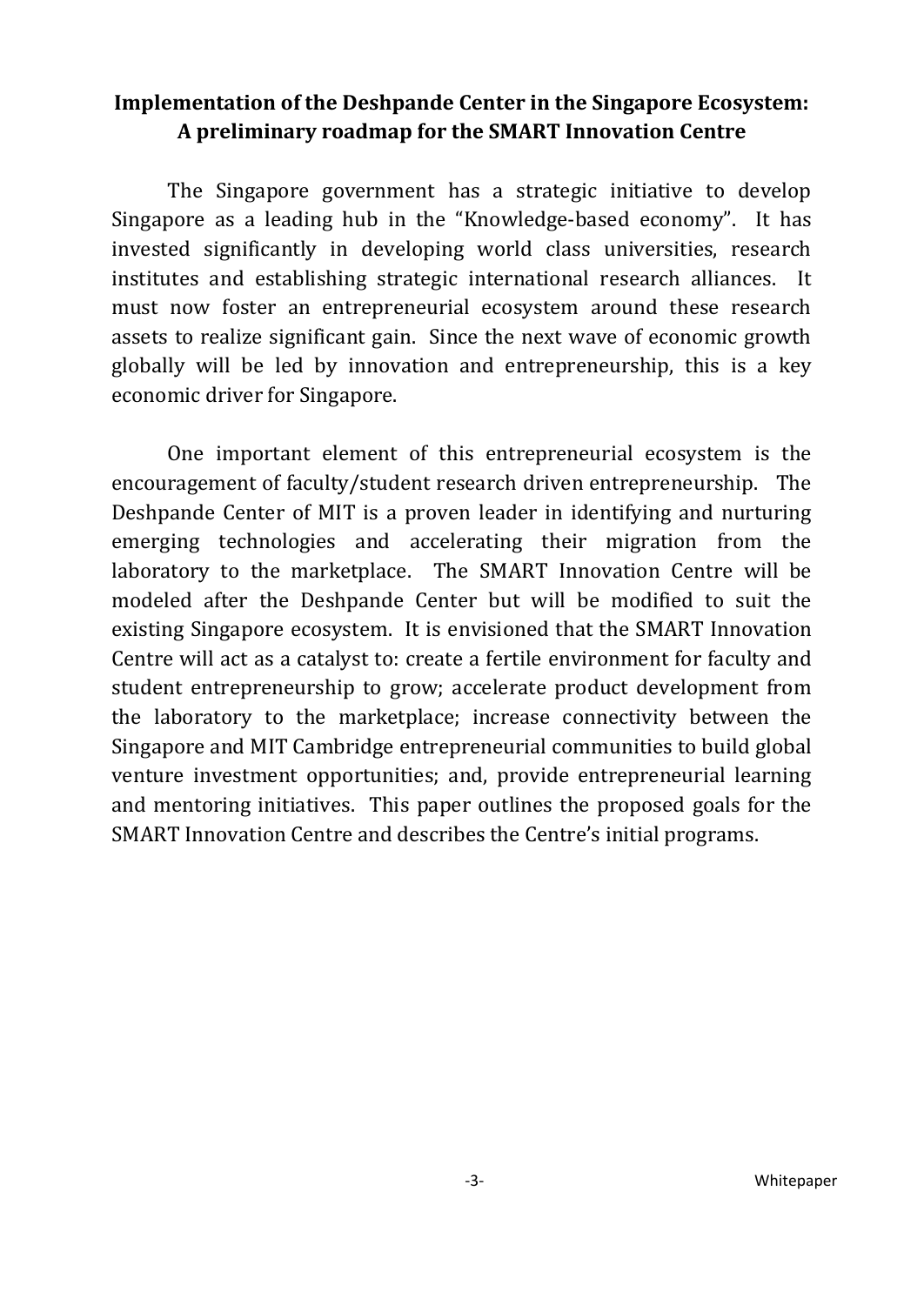### <span id="page-2-0"></span>**Implementation of the Deshpande Center in the Singapore Ecosystem: A preliminary roadmap for the SMART Innovation Centre**

The Singapore government has a strategic initiative to develop Singapore as a leading hub in the "Knowledge-based economy". It has invested significantly in developing world class universities, research institutes and establishing strategic international research alliances. It must now foster an entrepreneurial ecosystem around these research assets to realize significant gain. Since the next wave of economic growth globally will be led by innovation and entrepreneurship, this is a key economic driver for Singapore.

One important element of this entrepreneurial ecosystem is the encouragement of faculty/student research driven entrepreneurship. The Deshpande Center of MIT is a proven leader in identifying and nurturing emerging technologies and accelerating their migration from the laboratory to the marketplace. The SMART Innovation Centre will be modeled after the Deshpande Center but will be modified to suit the existing Singapore ecosystem. It is envisioned that the SMART Innovation Centre will act as a catalyst to: create a fertile environment for faculty and student entrepreneurship to grow; accelerate product development from the laboratory to the marketplace; increase connectivity between the Singapore and MIT Cambridge entrepreneurial communities to build global venture investment opportunities; and, provide entrepreneurial learning and mentoring initiatives. This paper outlines the proposed goals for the SMART Innovation Centre and describes the Centre's initial programs.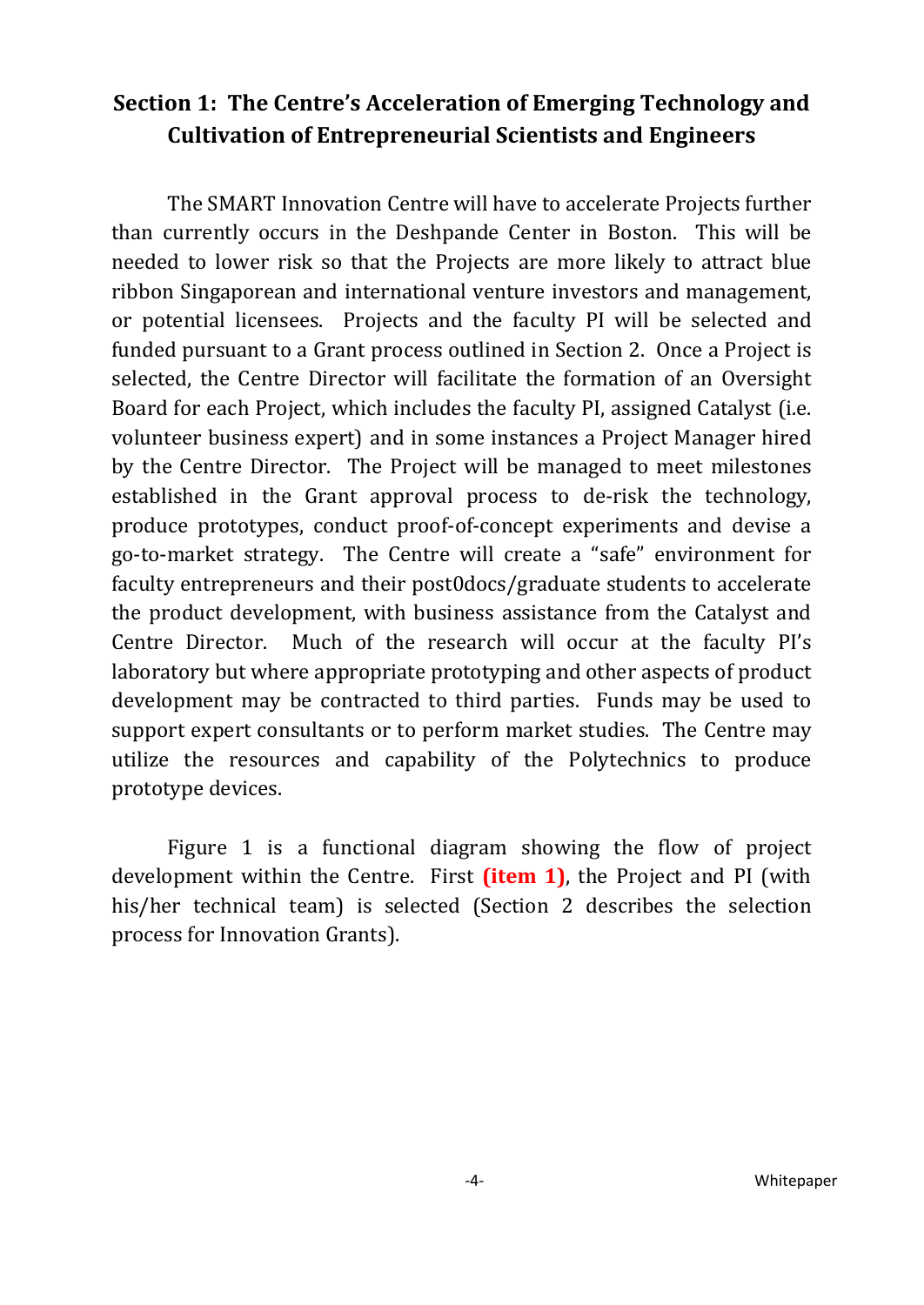### <span id="page-3-0"></span>**Section 1: The Centre's Acceleration of Emerging Technology and Cultivation of Entrepreneurial Scientists and Engineers**

The SMART Innovation Centre will have to accelerate Projects further than currently occurs in the Deshpande Center in Boston. This will be needed to lower risk so that the Projects are more likely to attract blue ribbon Singaporean and international venture investors and management, or potential licensees. Projects and the faculty PI will be selected and funded pursuant to a Grant process outlined in Section 2. Once a Project is selected, the Centre Director will facilitate the formation of an Oversight Board for each Project, which includes the faculty PI, assigned Catalyst (i.e. volunteer business expert) and in some instances a Project Manager hired by the Centre Director. The Project will be managed to meet milestones established in the Grant approval process to de-risk the technology, produce prototypes, conduct proof-of-concept experiments and devise a go-to-market strategy. The Centre will create a "safe" environment for faculty entrepreneurs and their post0docs/graduate students to accelerate the product development, with business assistance from the Catalyst and Centre Director. Much of the research will occur at the faculty PI's laboratory but where appropriate prototyping and other aspects of product development may be contracted to third parties. Funds may be used to support expert consultants or to perform market studies. The Centre may utilize the resources and capability of the Polytechnics to produce prototype devices.

Figure 1 is a functional diagram showing the flow of project development within the Centre. First **(item 1)**, the Project and PI (with his/her technical team) is selected (Section 2 describes the selection process for Innovation Grants).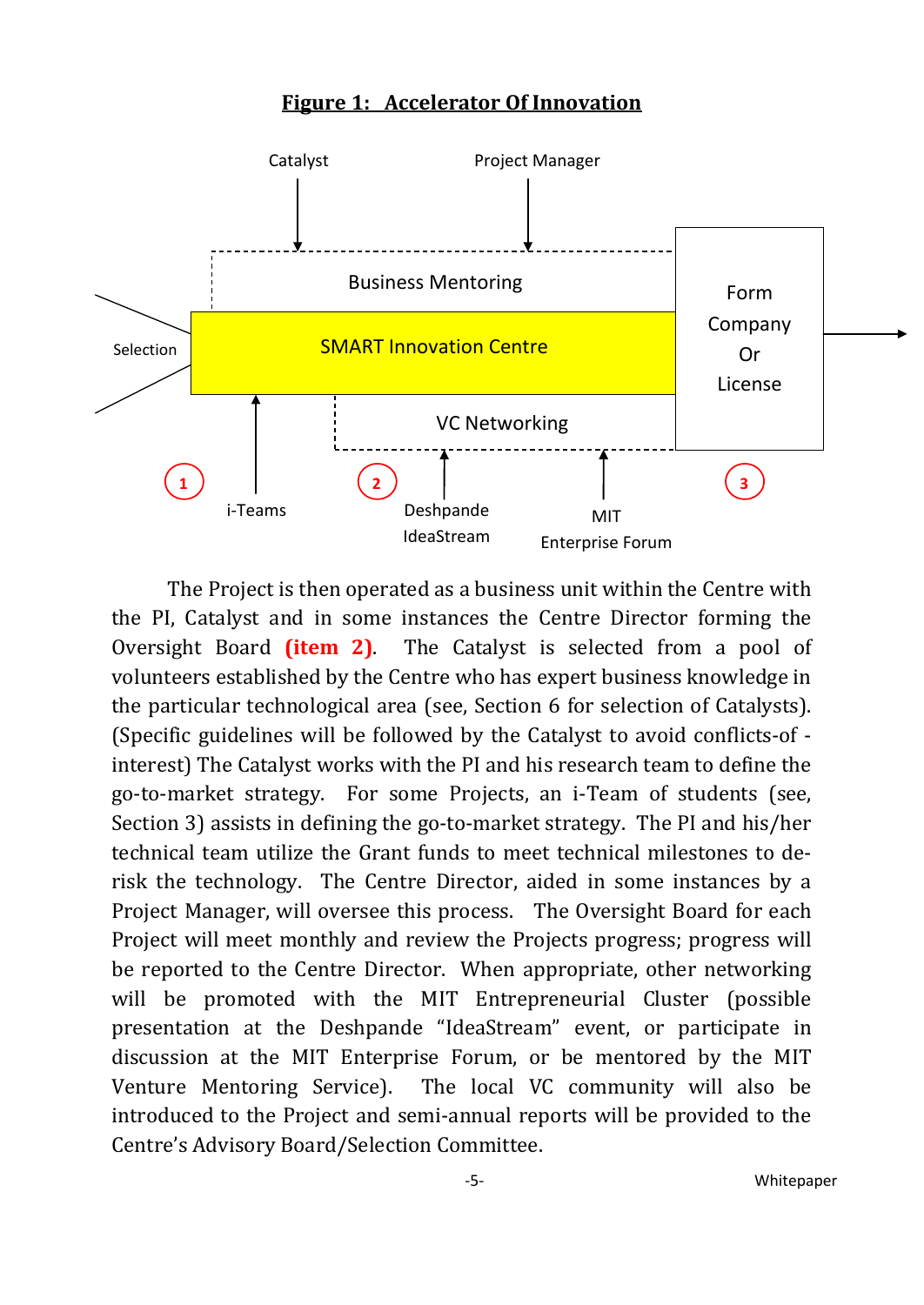#### **Figure 1: Accelerator Of Innovation**



The Project is then operated as a business unit within the Centre with the PI, Catalyst and in some instances the Centre Director forming the Oversight Board **(item 2)**. The Catalyst is selected from a pool of volunteers established by the Centre who has expert business knowledge in the particular technological area (see, Section 6 for selection of Catalysts). (Specific guidelines will be followed by the Catalyst to avoid conflicts-of interest) The Catalyst works with the PI and his research team to define the go-to-market strategy. For some Projects, an i-Team of students (see, Section 3) assists in defining the go-to-market strategy. The PI and his/her technical team utilize the Grant funds to meet technical milestones to derisk the technology. The Centre Director, aided in some instances by a Project Manager, will oversee this process. The Oversight Board for each Project will meet monthly and review the Projects progress; progress will be reported to the Centre Director. When appropriate, other networking will be promoted with the MIT Entrepreneurial Cluster (possible presentation at the Deshpande "IdeaStream" event, or participate in discussion at the MIT Enterprise Forum, or be mentored by the MIT Venture Mentoring Service). The local VC community will also be introduced to the Project and semi-annual reports will be provided to the Centre's Advisory Board/Selection Committee.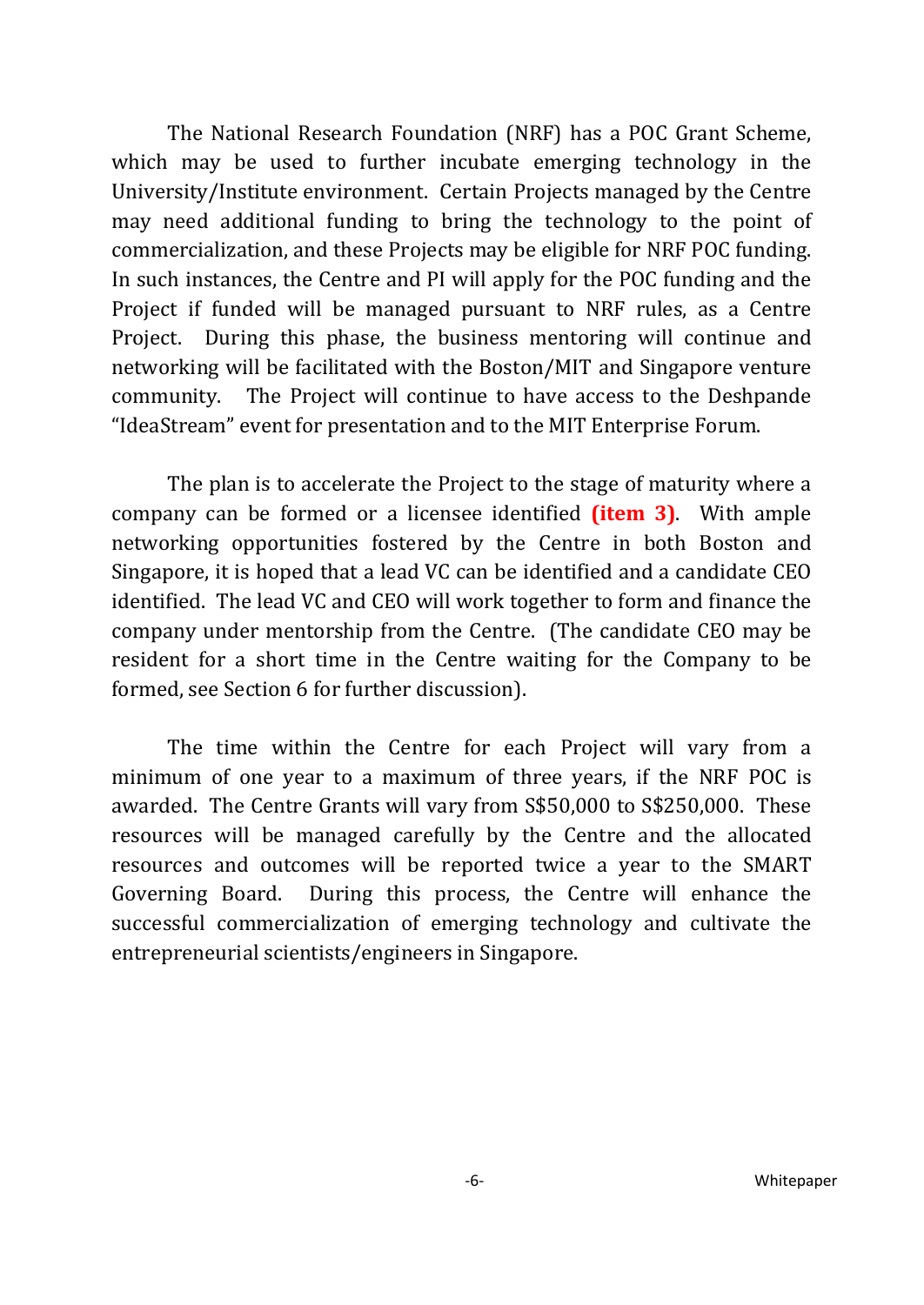The National Research Foundation (NRF) has a POC Grant Scheme, which may be used to further incubate emerging technology in the University/Institute environment. Certain Projects managed by the Centre may need additional funding to bring the technology to the point of commercialization, and these Projects may be eligible for NRF POC funding. In such instances, the Centre and PI will apply for the POC funding and the Project if funded will be managed pursuant to NRF rules, as a Centre Project. During this phase, the business mentoring will continue and networking will be facilitated with the Boston/MIT and Singapore venture community. The Project will continue to have access to the Deshpande "IdeaStream" event for presentation and to the MIT Enterprise Forum.

The plan is to accelerate the Project to the stage of maturity where a company can be formed or a licensee identified **(item 3)**. With ample networking opportunities fostered by the Centre in both Boston and Singapore, it is hoped that a lead VC can be identified and a candidate CEO identified. The lead VC and CEO will work together to form and finance the company under mentorship from the Centre. (The candidate CEO may be resident for a short time in the Centre waiting for the Company to be formed, see Section 6 for further discussion).

The time within the Centre for each Project will vary from a minimum of one year to a maximum of three years, if the NRF POC is awarded. The Centre Grants will vary from S\$50,000 to S\$250,000. These resources will be managed carefully by the Centre and the allocated resources and outcomes will be reported twice a year to the SMART Governing Board. During this process, the Centre will enhance the successful commercialization of emerging technology and cultivate the entrepreneurial scientists/engineers in Singapore.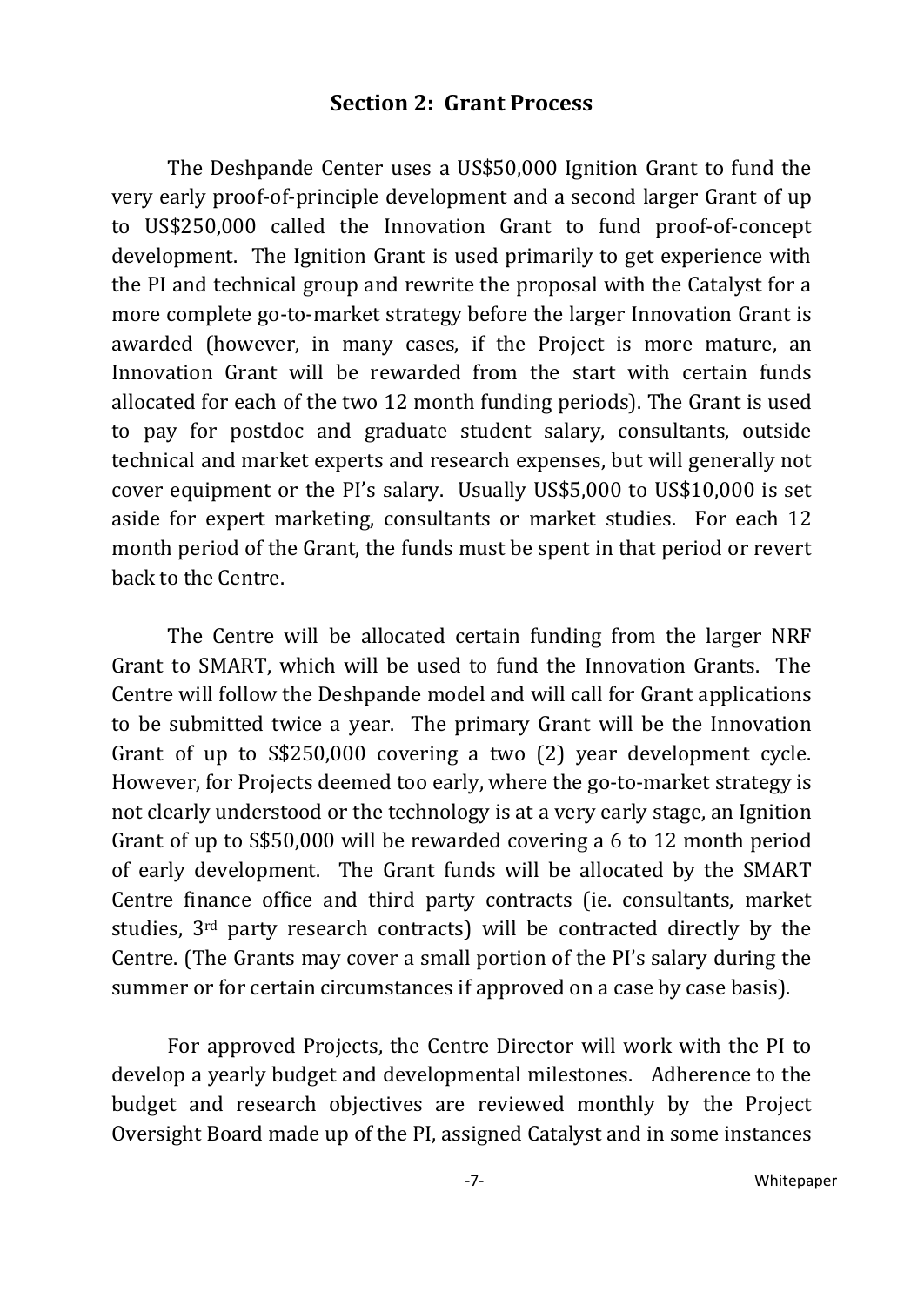#### **Section 2: Grant Process**

<span id="page-6-0"></span>The Deshpande Center uses a US\$50,000 Ignition Grant to fund the very early proof-of-principle development and a second larger Grant of up to US\$250,000 called the Innovation Grant to fund proof-of-concept development. The Ignition Grant is used primarily to get experience with the PI and technical group and rewrite the proposal with the Catalyst for a more complete go-to-market strategy before the larger Innovation Grant is awarded (however, in many cases, if the Project is more mature, an Innovation Grant will be rewarded from the start with certain funds allocated for each of the two 12 month funding periods). The Grant is used to pay for postdoc and graduate student salary, consultants, outside technical and market experts and research expenses, but will generally not cover equipment or the PI's salary. Usually US\$5,000 to US\$10,000 is set aside for expert marketing, consultants or market studies. For each 12 month period of the Grant, the funds must be spent in that period or revert back to the Centre.

The Centre will be allocated certain funding from the larger NRF Grant to SMART, which will be used to fund the Innovation Grants. The Centre will follow the Deshpande model and will call for Grant applications to be submitted twice a year. The primary Grant will be the Innovation Grant of up to S\$250,000 covering a two (2) year development cycle. However, for Projects deemed too early, where the go-to-market strategy is not clearly understood or the technology is at a very early stage, an Ignition Grant of up to S\$50,000 will be rewarded covering a 6 to 12 month period of early development. The Grant funds will be allocated by the SMART Centre finance office and third party contracts (ie. consultants, market studies, 3rd party research contracts) will be contracted directly by the Centre. (The Grants may cover a small portion of the PI's salary during the summer or for certain circumstances if approved on a case by case basis).

For approved Projects, the Centre Director will work with the PI to develop a yearly budget and developmental milestones. Adherence to the budget and research objectives are reviewed monthly by the Project Oversight Board made up of the PI, assigned Catalyst and in some instances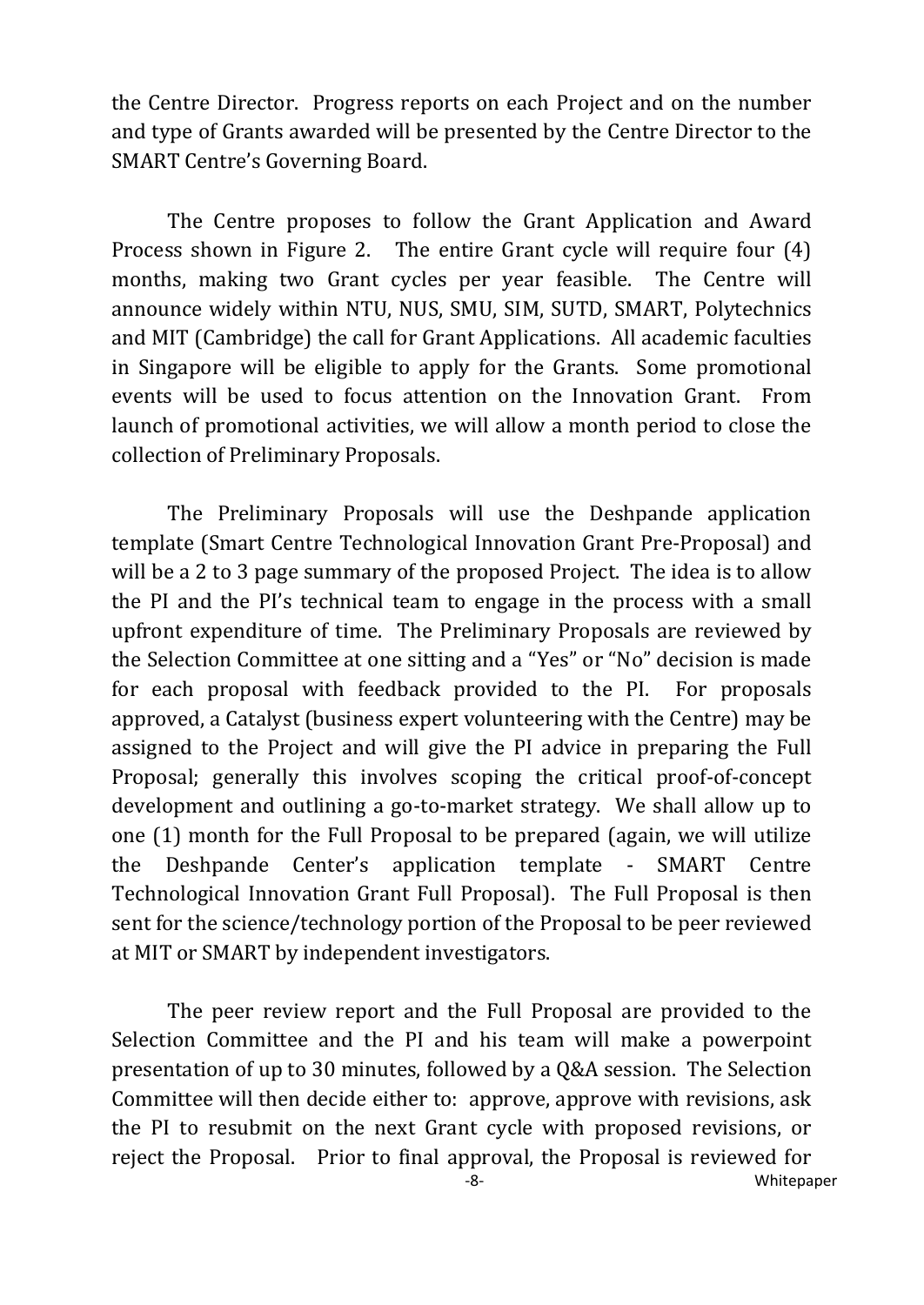the Centre Director. Progress reports on each Project and on the number and type of Grants awarded will be presented by the Centre Director to the SMART Centre's Governing Board.

The Centre proposes to follow the Grant Application and Award Process shown in Figure 2. The entire Grant cycle will require four (4) months, making two Grant cycles per year feasible. The Centre will announce widely within NTU, NUS, SMU, SIM, SUTD, SMART, Polytechnics and MIT (Cambridge) the call for Grant Applications. All academic faculties in Singapore will be eligible to apply for the Grants. Some promotional events will be used to focus attention on the Innovation Grant. From launch of promotional activities, we will allow a month period to close the collection of Preliminary Proposals.

The Preliminary Proposals will use the Deshpande application template (Smart Centre Technological Innovation Grant Pre-Proposal) and will be a 2 to 3 page summary of the proposed Project. The idea is to allow the PI and the PI's technical team to engage in the process with a small upfront expenditure of time. The Preliminary Proposals are reviewed by the Selection Committee at one sitting and a "Yes" or "No" decision is made for each proposal with feedback provided to the PI. For proposals approved, a Catalyst (business expert volunteering with the Centre) may be assigned to the Project and will give the PI advice in preparing the Full Proposal; generally this involves scoping the critical proof-of-concept development and outlining a go-to-market strategy. We shall allow up to one (1) month for the Full Proposal to be prepared (again, we will utilize the Deshpande Center's application template - SMART Centre Technological Innovation Grant Full Proposal). The Full Proposal is then sent for the science/technology portion of the Proposal to be peer reviewed at MIT or SMART by independent investigators.

The peer review report and the Full Proposal are provided to the Selection Committee and the PI and his team will make a powerpoint presentation of up to 30 minutes, followed by a Q&A session. The Selection Committee will then decide either to: approve, approve with revisions, ask the PI to resubmit on the next Grant cycle with proposed revisions, or reject the Proposal. Prior to final approval, the Proposal is reviewed for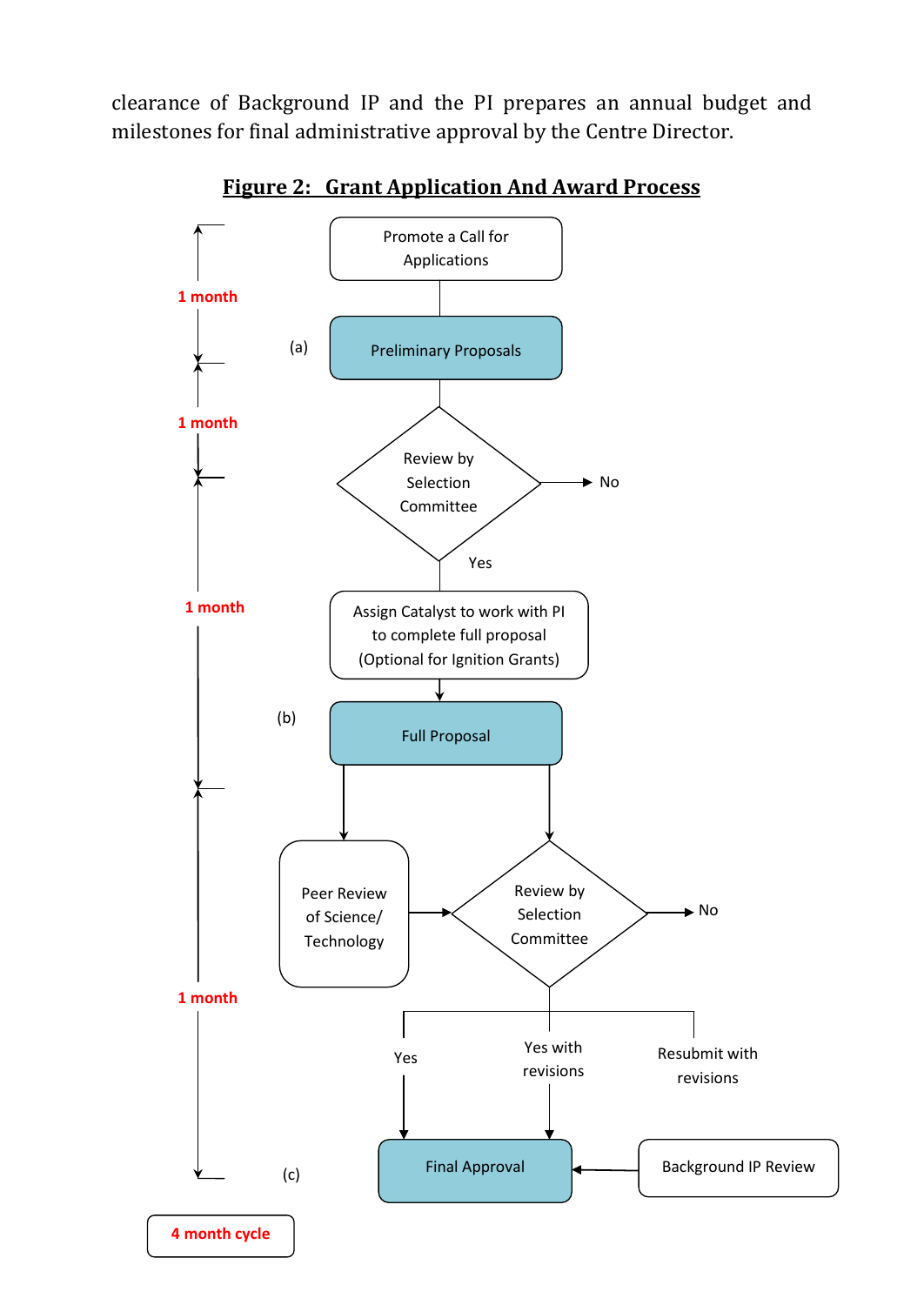clearance of Background IP and the PI prepares an annual budget and milestones for final administrative approval by the Centre Director.



**Figure 2: Grant Application And Award Process**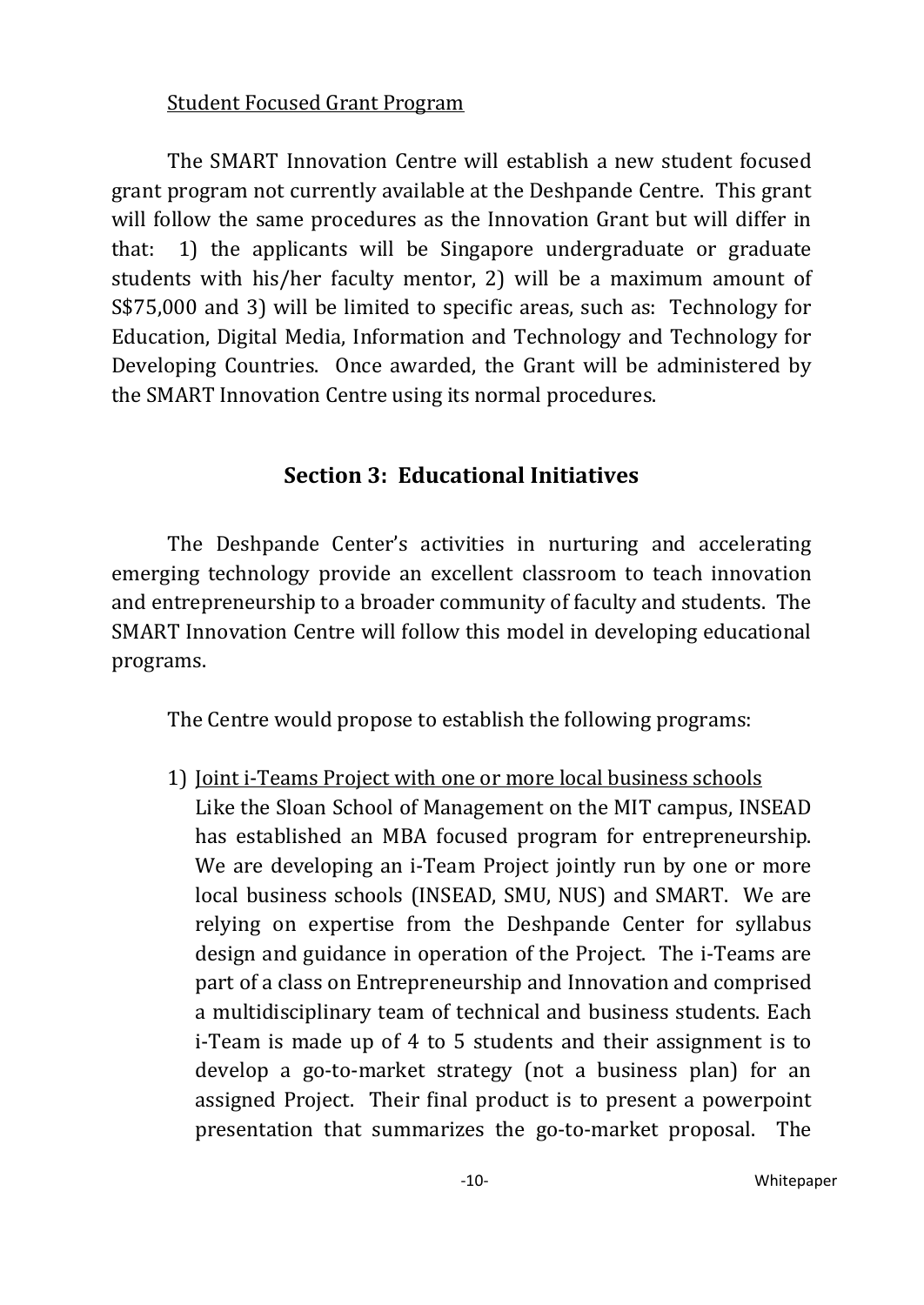#### Student Focused Grant Program

The SMART Innovation Centre will establish a new student focused grant program not currently available at the Deshpande Centre. This grant will follow the same procedures as the Innovation Grant but will differ in that: 1) the applicants will be Singapore undergraduate or graduate students with his/her faculty mentor, 2) will be a maximum amount of S\$75,000 and 3) will be limited to specific areas, such as: Technology for Education, Digital Media, Information and Technology and Technology for Developing Countries. Once awarded, the Grant will be administered by the SMART Innovation Centre using its normal procedures.

### **Section 3: Educational Initiatives**

<span id="page-9-0"></span>The Deshpande Center's activities in nurturing and accelerating emerging technology provide an excellent classroom to teach innovation and entrepreneurship to a broader community of faculty and students. The SMART Innovation Centre will follow this model in developing educational programs.

The Centre would propose to establish the following programs:

1) Joint i-Teams Project with one or more local business schoolsLike the Sloan School of Management on the MIT campus, INSEAD has established an MBA focused program for entrepreneurship. We are developing an i-Team Project jointly run by one or more local business schools (INSEAD, SMU, NUS) and SMART. We are relying on expertise from the Deshpande Center for syllabus design and guidance in operation of the Project. The i-Teams are part of a class on Entrepreneurship and Innovation and comprised a multidisciplinary team of technical and business students. Each i-Team is made up of 4 to 5 students and their assignment is to develop a go-to-market strategy (not a business plan) for an assigned Project. Their final product is to present a powerpoint presentation that summarizes the go-to-market proposal. The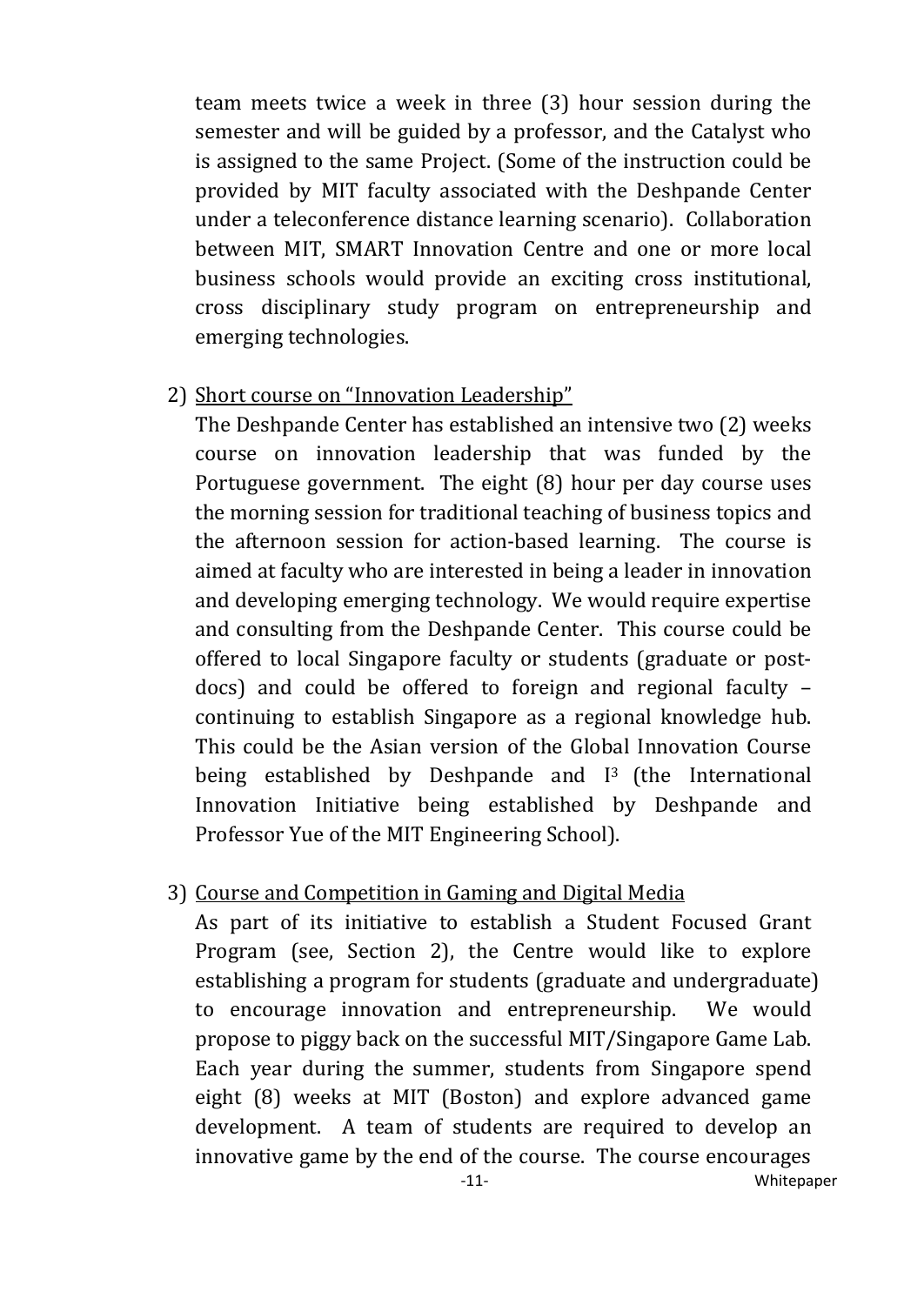team meets twice a week in three (3) hour session during the semester and will be guided by a professor, and the Catalyst who is assigned to the same Project. (Some of the instruction could be provided by MIT faculty associated with the Deshpande Center under a teleconference distance learning scenario). Collaboration between MIT, SMART Innovation Centre and one or more local business schools would provide an exciting cross institutional, cross disciplinary study program on entrepreneurship and emerging technologies.

## 2) Short course on "Innovation Leadership"

The Deshpande Center has established an intensive two (2) weeks course on innovation leadership that was funded by the Portuguese government. The eight (8) hour per day course uses the morning session for traditional teaching of business topics and the afternoon session for action-based learning. The course is aimed at faculty who are interested in being a leader in innovation and developing emerging technology. We would require expertise and consulting from the Deshpande Center. This course could be offered to local Singapore faculty or students (graduate or postdocs) and could be offered to foreign and regional faculty – continuing to establish Singapore as a regional knowledge hub. This could be the Asian version of the Global Innovation Course being established by Deshpande and I<sup>3</sup> (the International Innovation Initiative being established by Deshpande and Professor Yue of the MIT Engineering School).

### 3) Course and Competition in Gaming and Digital Media

As part of its initiative to establish a Student Focused Grant Program (see, Section 2), the Centre would like to explore establishing a program for students (graduate and undergraduate) to encourage innovation and entrepreneurship. We would propose to piggy back on the successful MIT/Singapore Game Lab. Each year during the summer, students from Singapore spend eight (8) weeks at MIT (Boston) and explore advanced game development. A team of students are required to develop an innovative game by the end of the course. The course encourages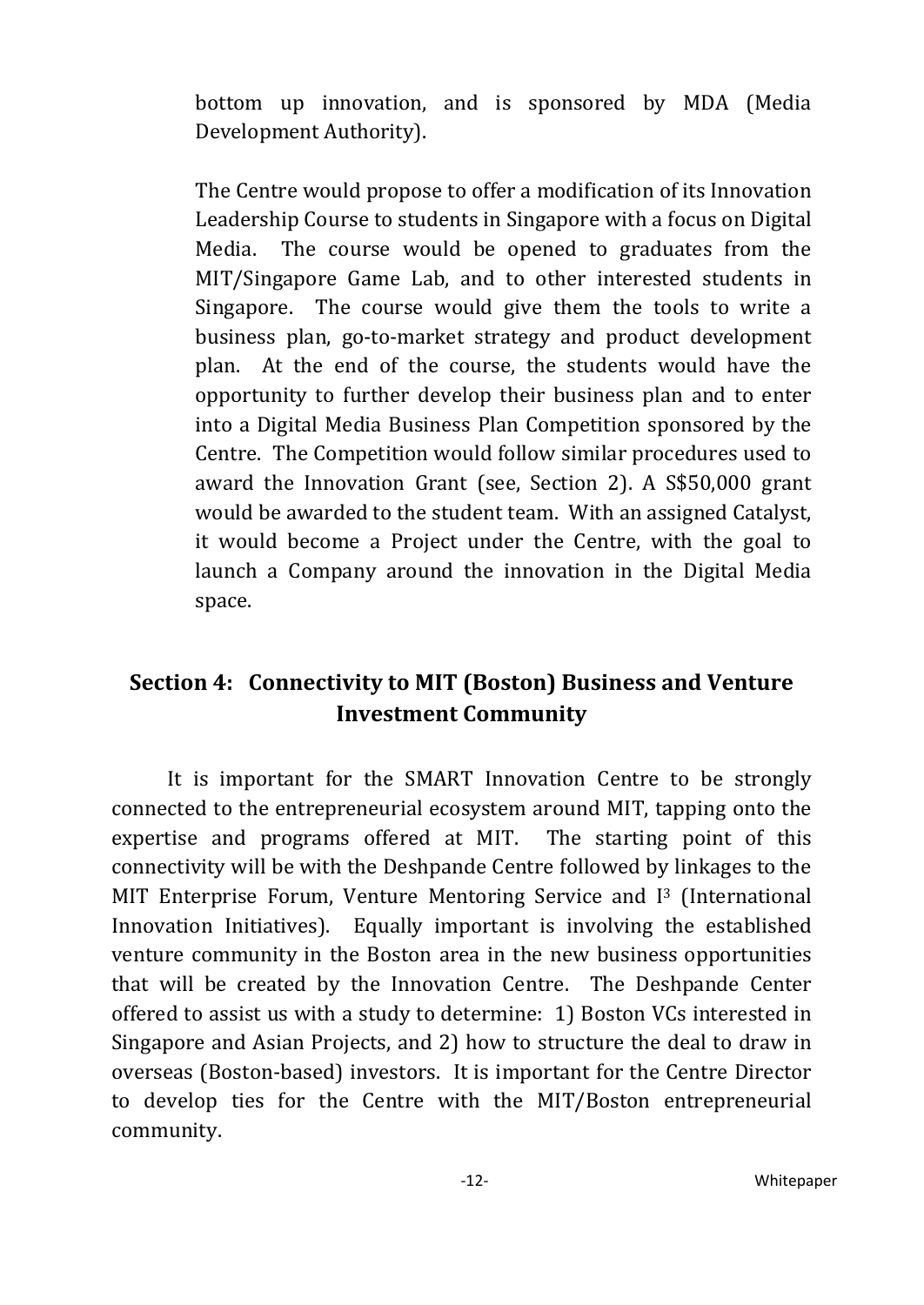bottom up innovation, and is sponsored by MDA (Media Development Authority).

The Centre would propose to offer a modification of its Innovation Leadership Course to students in Singapore with a focus on Digital Media. The course would be opened to graduates from the MIT/Singapore Game Lab, and to other interested students in Singapore. The course would give them the tools to write a business plan, go-to-market strategy and product development plan. At the end of the course, the students would have the opportunity to further develop their business plan and to enter into a Digital Media Business Plan Competition sponsored by the Centre. The Competition would follow similar procedures used to award the Innovation Grant (see, Section 2). A S\$50,000 grant would be awarded to the student team. With an assigned Catalyst, it would become a Project under the Centre, with the goal to launch a Company around the innovation in the Digital Media space.

### <span id="page-11-0"></span>**Section 4: Connectivity to MIT (Boston) Business and Venture Investment Community**

It is important for the SMART Innovation Centre to be strongly connected to the entrepreneurial ecosystem around MIT, tapping onto the expertise and programs offered at MIT. The starting point of this connectivity will be with the Deshpande Centre followed by linkages to the MIT Enterprise Forum, Venture Mentoring Service and I<sup>3</sup> (International Innovation Initiatives). Equally important is involving the established venture community in the Boston area in the new business opportunities that will be created by the Innovation Centre. The Deshpande Center offered to assist us with a study to determine: 1) Boston VCs interested in Singapore and Asian Projects, and 2) how to structure the deal to draw in overseas (Boston-based) investors. It is important for the Centre Director to develop ties for the Centre with the MIT/Boston entrepreneurial community.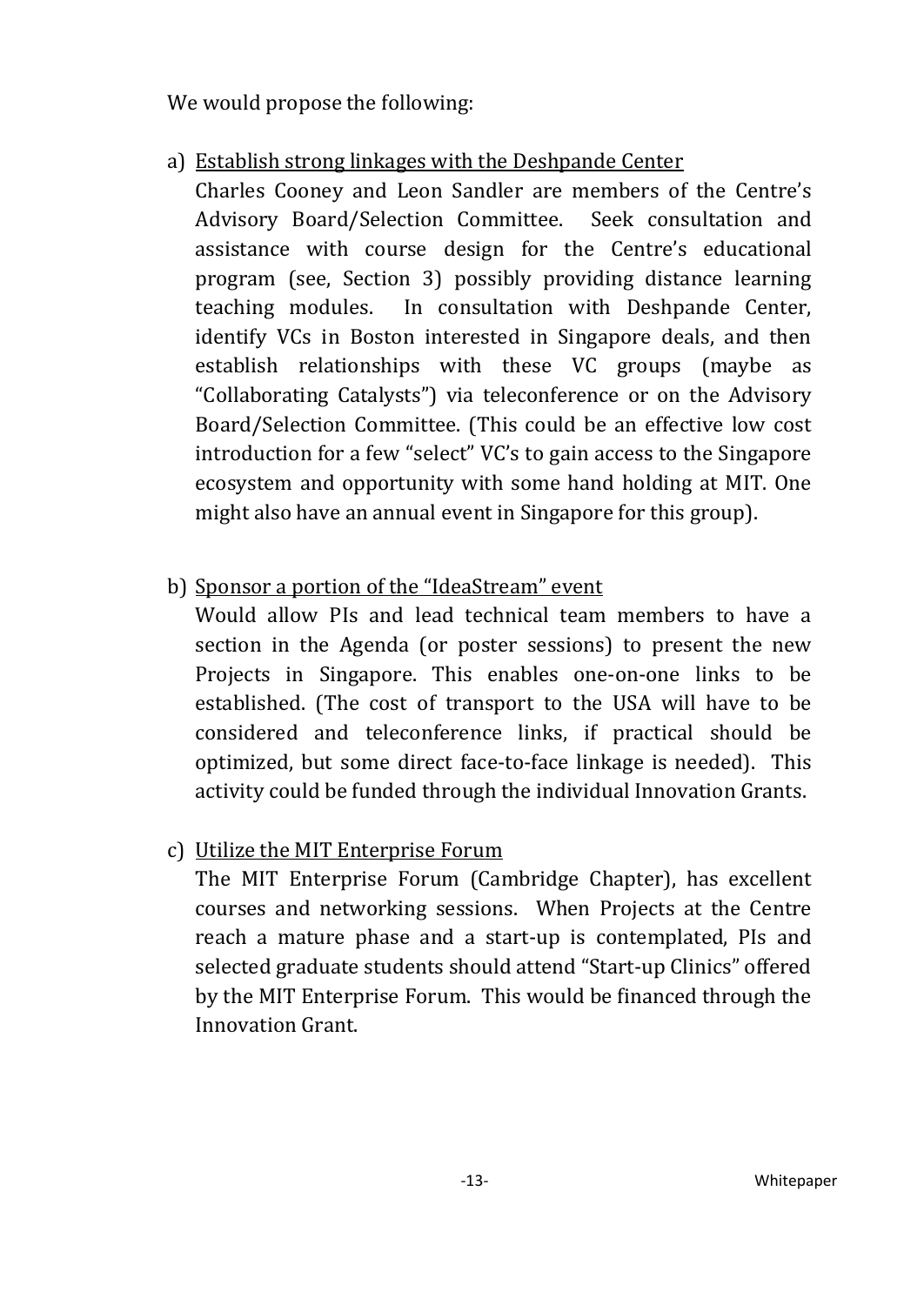We would propose the following:

a) Establish strong linkages with the Deshpande Center

Charles Cooney and Leon Sandler are members of the Centre's Advisory Board/Selection Committee. Seek consultation and assistance with course design for the Centre's educational program (see, Section 3) possibly providing distance learning teaching modules. In consultation with Deshpande Center, identify VCs in Boston interested in Singapore deals, and then establish relationships with these VC groups (maybe as "Collaborating Catalysts") via teleconference or on the Advisory Board/Selection Committee. (This could be an effective low cost introduction for a few "select" VC's to gain access to the Singapore ecosystem and opportunity with some hand holding at MIT. One might also have an annual event in Singapore for this group).

## b) Sponsor a portion of the "IdeaStream" event

Would allow PIs and lead technical team members to have a section in the Agenda (or poster sessions) to present the new Projects in Singapore. This enables one-on-one links to be established. (The cost of transport to the USA will have to be considered and teleconference links, if practical should be optimized, but some direct face-to-face linkage is needed). This activity could be funded through the individual Innovation Grants.

## c) Utilize the MIT Enterprise Forum

The MIT Enterprise Forum (Cambridge Chapter), has excellent courses and networking sessions. When Projects at the Centre reach a mature phase and a start-up is contemplated, PIs and selected graduate students should attend "Start-up Clinics" offered by the MIT Enterprise Forum. This would be financed through the Innovation Grant.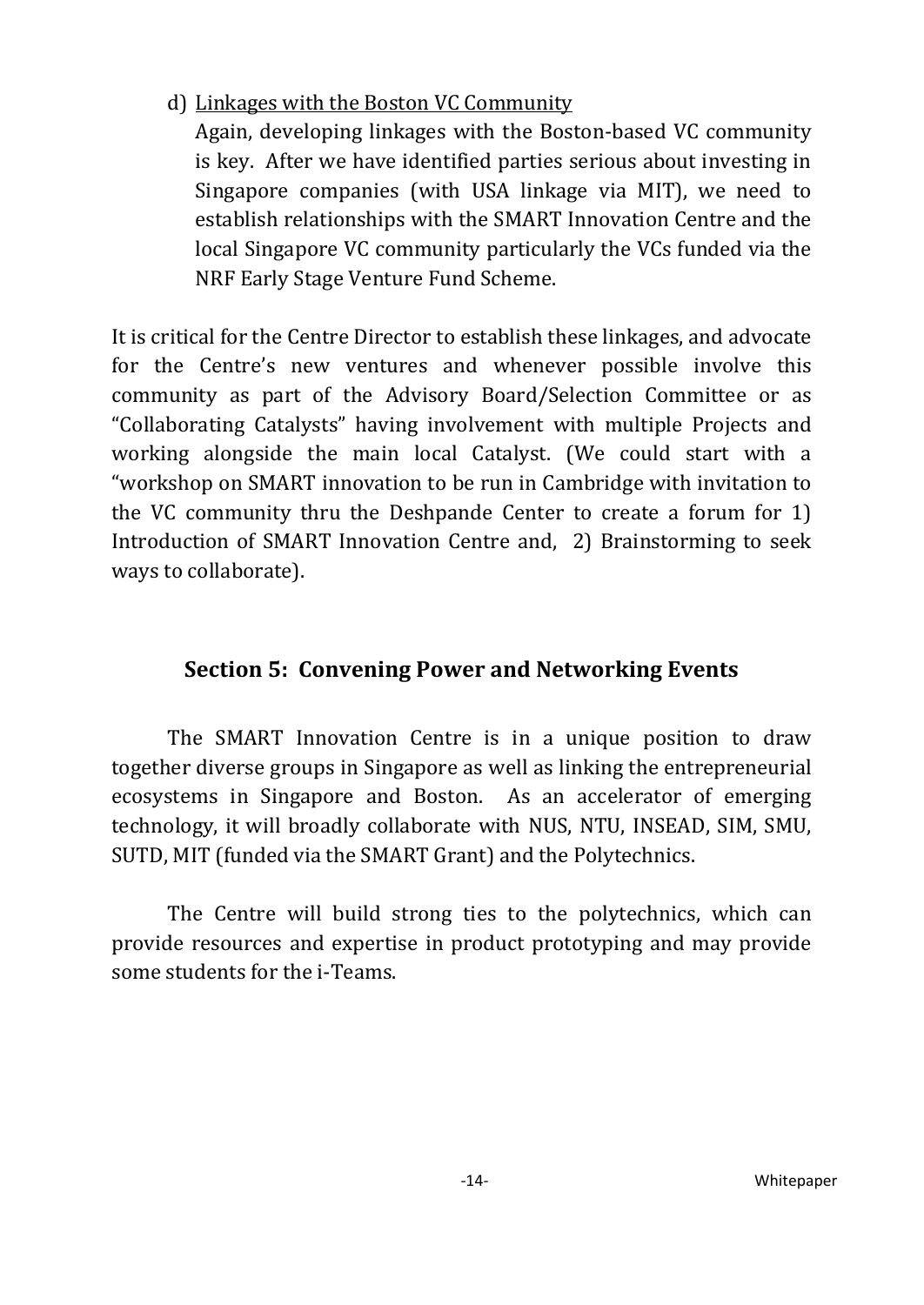d) Linkages with the Boston VC Community

Again, developing linkages with the Boston-based VC community is key. After we have identified parties serious about investing in Singapore companies (with USA linkage via MIT), we need to establish relationships with the SMART Innovation Centre and the local Singapore VC community particularly the VCs funded via the NRF Early Stage Venture Fund Scheme.

It is critical for the Centre Director to establish these linkages, and advocate for the Centre's new ventures and whenever possible involve this community as part of the Advisory Board/Selection Committee or as "Collaborating Catalysts" having involvement with multiple Projects and working alongside the main local Catalyst. (We could start with a "workshop on SMART innovation to be run in Cambridge with invitation to the VC community thru the Deshpande Center to create a forum for 1) Introduction of SMART Innovation Centre and, 2) Brainstorming to seek ways to collaborate).

### <span id="page-13-0"></span>**Section 5: Convening Power and Networking Events**

The SMART Innovation Centre is in a unique position to draw together diverse groups in Singapore as well as linking the entrepreneurial ecosystems in Singapore and Boston. As an accelerator of emerging technology, it will broadly collaborate with NUS, NTU, INSEAD, SIM, SMU, SUTD, MIT (funded via the SMART Grant) and the Polytechnics.

The Centre will build strong ties to the polytechnics, which can provide resources and expertise in product prototyping and may provide some students for the i-Teams.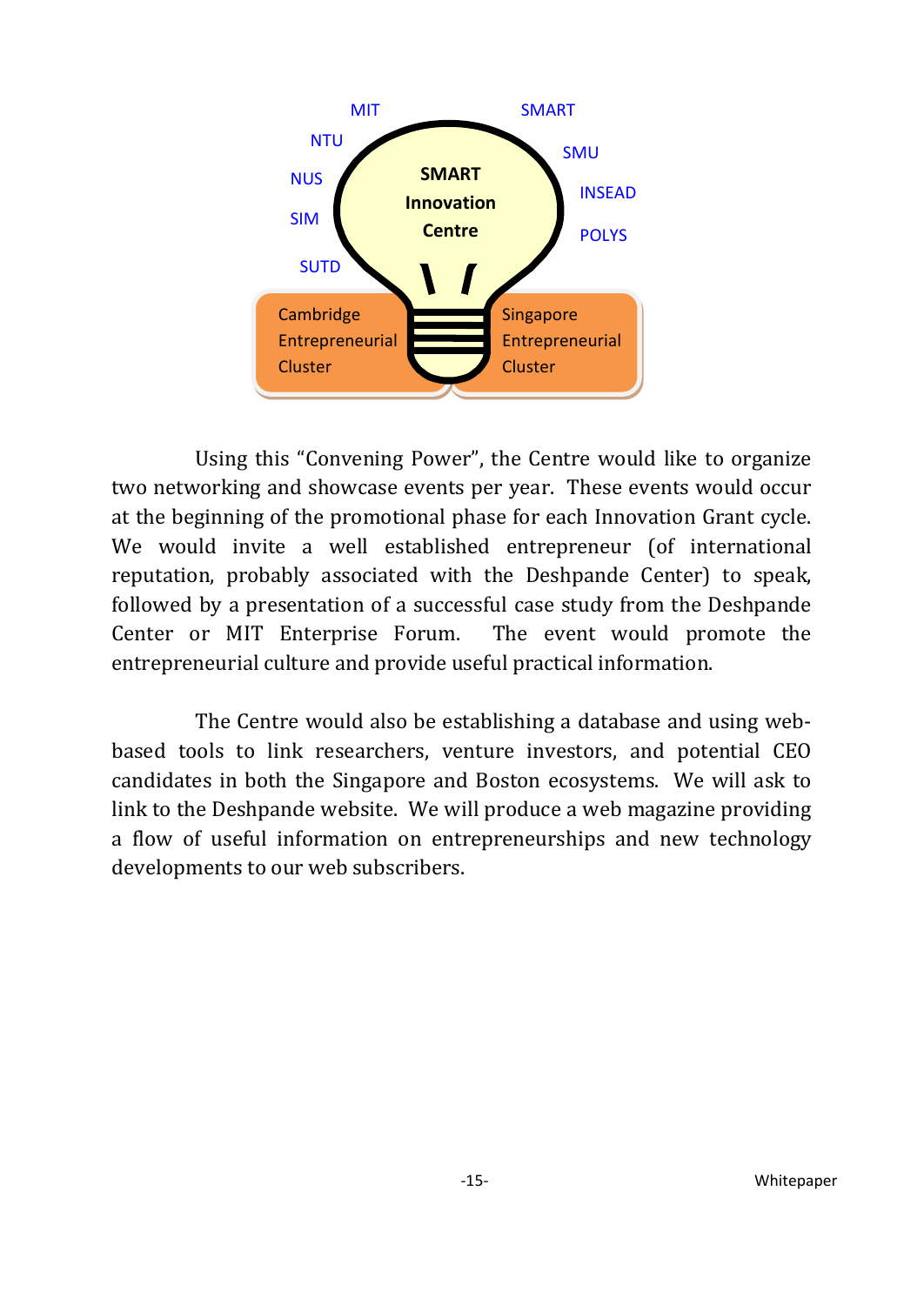

Using this "Convening Power", the Centre would like to organize two networking and showcase events per year. These events would occur at the beginning of the promotional phase for each Innovation Grant cycle. We would invite a well established entrepreneur (of international reputation, probably associated with the Deshpande Center) to speak, followed by a presentation of a successful case study from the Deshpande Center or MIT Enterprise Forum. The event would promote the entrepreneurial culture and provide useful practical information.

The Centre would also be establishing a database and using webbased tools to link researchers, venture investors, and potential CEO candidates in both the Singapore and Boston ecosystems. We will ask to link to the Deshpande website. We will produce a web magazine providing a flow of useful information on entrepreneurships and new technology developments to our web subscribers.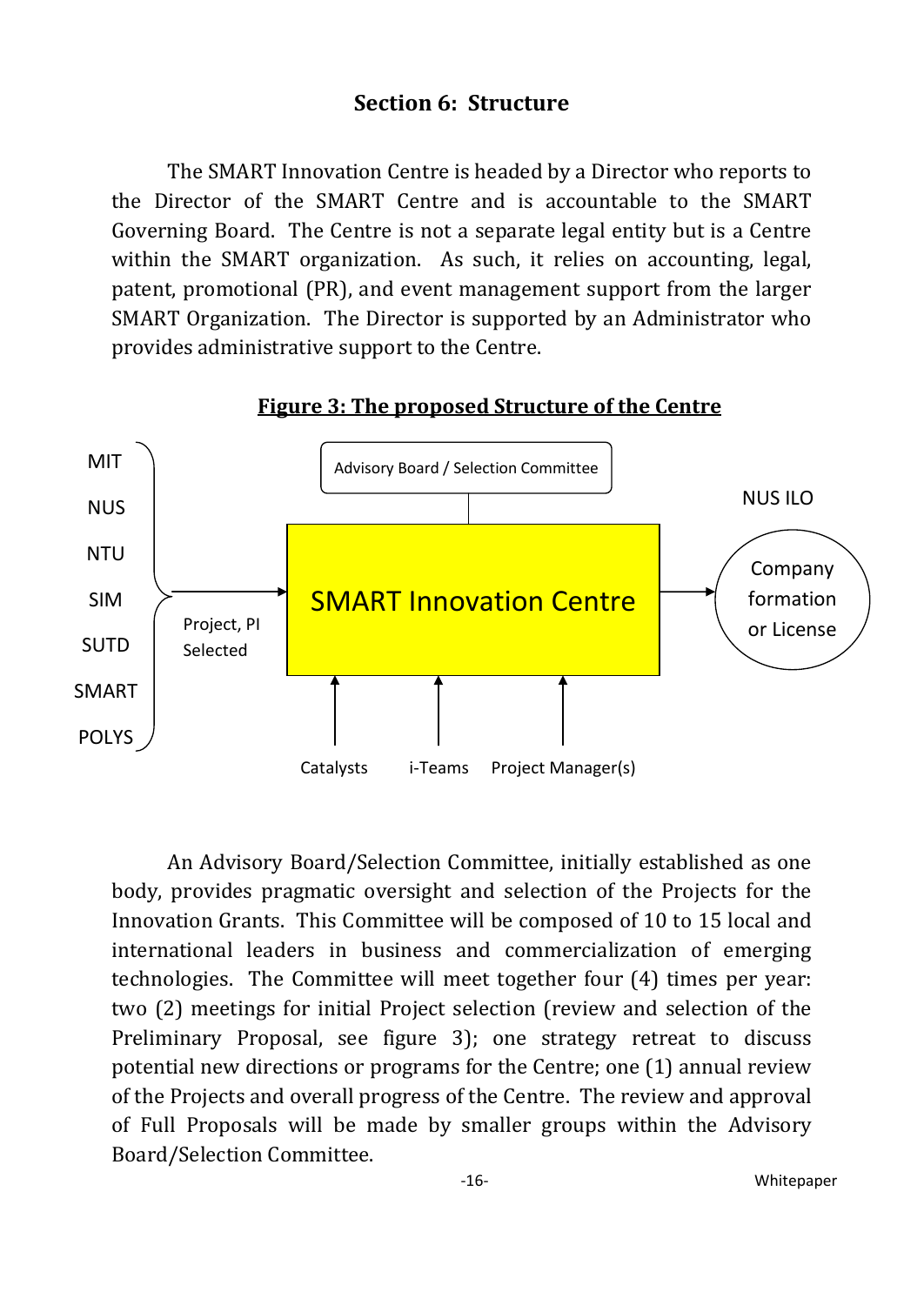#### **Section 6: Structure**

<span id="page-15-0"></span>The SMART Innovation Centre is headed by a Director who reports to the Director of the SMART Centre and is accountable to the SMART Governing Board. The Centre is not a separate legal entity but is a Centre within the SMART organization. As such, it relies on accounting, legal, patent, promotional (PR), and event management support from the larger SMART Organization. The Director is supported by an Administrator who provides administrative support to the Centre.



#### **Figure 3: The proposed Structure of the Centre**

An Advisory Board/Selection Committee, initially established as one body, provides pragmatic oversight and selection of the Projects for the Innovation Grants. This Committee will be composed of 10 to 15 local and international leaders in business and commercialization of emerging technologies. The Committee will meet together four (4) times per year: two (2) meetings for initial Project selection (review and selection of the Preliminary Proposal, see figure 3); one strategy retreat to discuss potential new directions or programs for the Centre; one (1) annual review of the Projects and overall progress of the Centre. The review and approval of Full Proposals will be made by smaller groups within the Advisory Board/Selection Committee.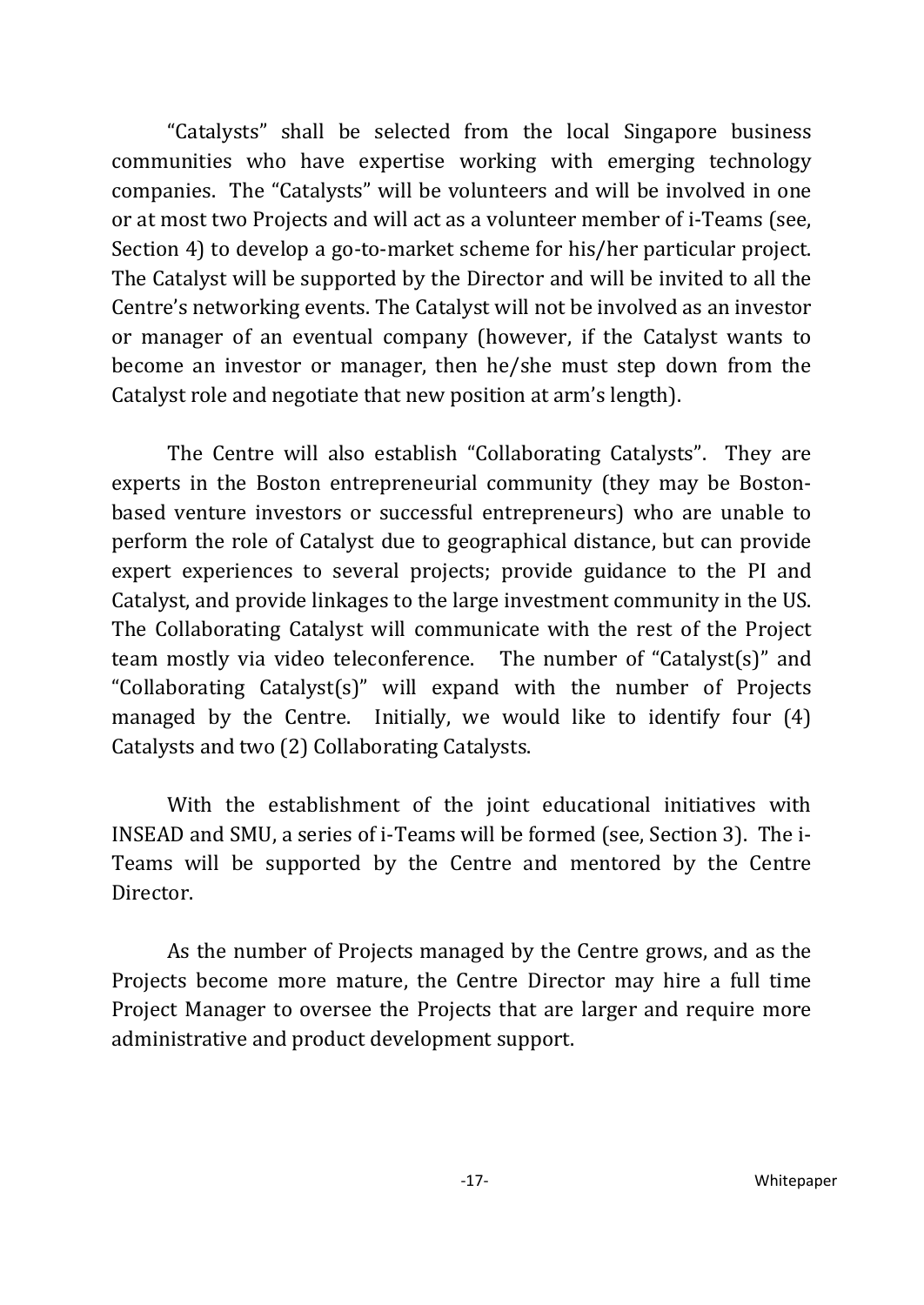"Catalysts" shall be selected from the local Singapore business communities who have expertise working with emerging technology companies. The "Catalysts" will be volunteers and will be involved in one or at most two Projects and will act as a volunteer member of i-Teams (see, Section 4) to develop a go-to-market scheme for his/her particular project. The Catalyst will be supported by the Director and will be invited to all the Centre's networking events. The Catalyst will not be involved as an investor or manager of an eventual company (however, if the Catalyst wants to become an investor or manager, then he/she must step down from the Catalyst role and negotiate that new position at arm's length).

The Centre will also establish "Collaborating Catalysts". They are experts in the Boston entrepreneurial community (they may be Bostonbased venture investors or successful entrepreneurs) who are unable to perform the role of Catalyst due to geographical distance, but can provide expert experiences to several projects; provide guidance to the PI and Catalyst, and provide linkages to the large investment community in the US. The Collaborating Catalyst will communicate with the rest of the Project team mostly via video teleconference. The number of "Catalyst(s)" and "Collaborating Catalyst(s)" will expand with the number of Projects managed by the Centre. Initially, we would like to identify four (4) Catalysts and two (2) Collaborating Catalysts.

With the establishment of the joint educational initiatives with INSEAD and SMU, a series of i-Teams will be formed (see, Section 3). The i-Teams will be supported by the Centre and mentored by the Centre Director.

As the number of Projects managed by the Centre grows, and as the Projects become more mature, the Centre Director may hire a full time Project Manager to oversee the Projects that are larger and require more administrative and product development support.